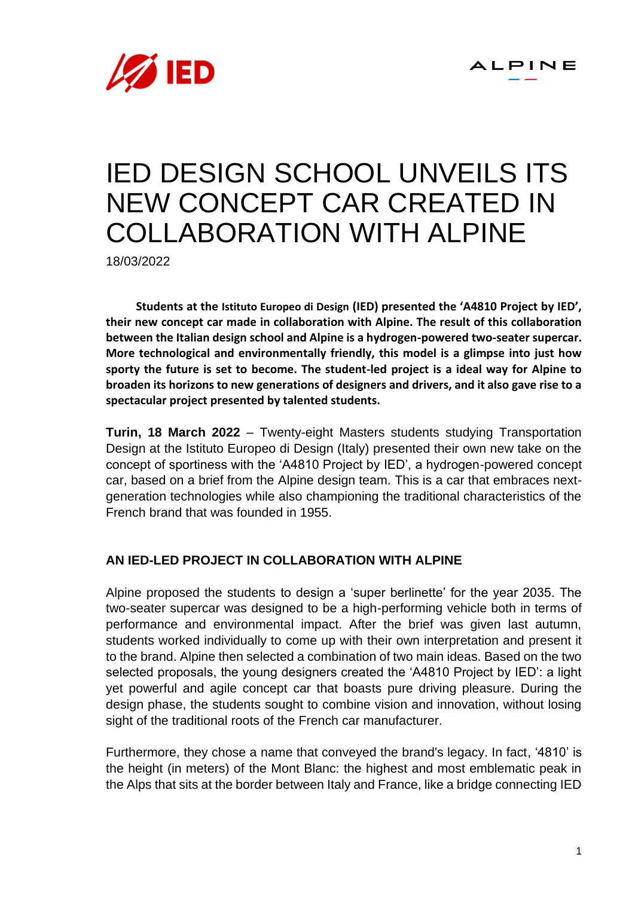

# IED DESIGN SCHOOL UNVEILS ITS NEW CONCEPT CAR CREATED IN COLLABORATION WITH ALPINE

18/03/2022

**Students at the Istituto Europeo di Design (IED) presented the 'A4810 Project by IED', their new concept car made in collaboration with Alpine. The result of this collaboration between the Italian design school and Alpine is a hydrogen-powered two-seater supercar. More technological and environmentally friendly, this model is a glimpse into just how sporty the future is set to become. The student-led project is a ideal way for Alpine to broaden its horizons to new generations of designers and drivers, and it also gave rise to a spectacular project presented by talented students.**

**Turin, 18 March 2022** – Twenty-eight Masters students studying Transportation Design at the Istituto Europeo di Design (Italy) presented their own new take on the concept of sportiness with the 'A4810 Project by IED', a hydrogen-powered concept car, based on a brief from the Alpine design team. This is a car that embraces nextgeneration technologies while also championing the traditional characteristics of the French brand that was founded in 1955.

### **AN IED-LED PROJECT IN COLLABORATION WITH ALPINE**

Alpine proposed the students to design a 'super berlinette' for the year 2035. The two-seater supercar was designed to be a high-performing vehicle both in terms of performance and environmental impact. After the brief was given last autumn, students worked individually to come up with their own interpretation and present it to the brand. Alpine then selected a combination of two main ideas. Based on the two selected proposals, the young designers created the 'A4810 Project by IED': a light yet powerful and agile concept car that boasts pure driving pleasure. During the design phase, the students sought to combine vision and innovation, without losing sight of the traditional roots of the French car manufacturer.

Furthermore, they chose a name that conveyed the brand's legacy. In fact, '4810' is the height (in meters) of the Mont Blanc: the highest and most emblematic peak in the Alps that sits at the border between Italy and France, like a bridge connecting IED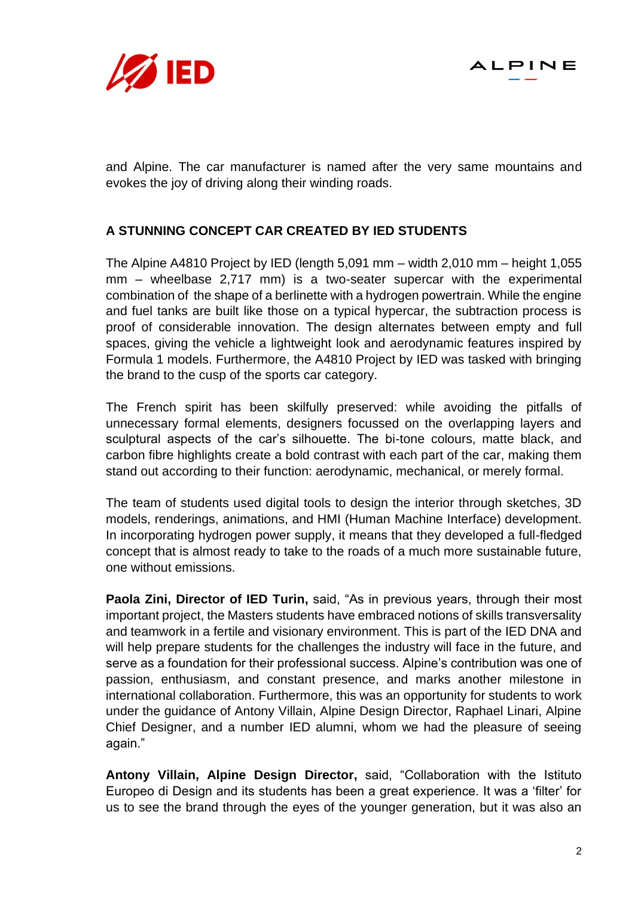



and Alpine. The car manufacturer is named after the very same mountains and evokes the joy of driving along their winding roads.

## **A STUNNING CONCEPT CAR CREATED BY IED STUDENTS**

The Alpine A4810 Project by IED (length 5,091 mm – width 2,010 mm – height 1,055 mm – wheelbase 2,717 mm) is a two-seater supercar with the experimental combination of the shape of a berlinette with a hydrogen powertrain. While the engine and fuel tanks are built like those on a typical hypercar, the subtraction process is proof of considerable innovation. The design alternates between empty and full spaces, giving the vehicle a lightweight look and aerodynamic features inspired by Formula 1 models. Furthermore, the A4810 Project by IED was tasked with bringing the brand to the cusp of the sports car category.

The French spirit has been skilfully preserved: while avoiding the pitfalls of unnecessary formal elements, designers focussed on the overlapping layers and sculptural aspects of the car's silhouette. The bi-tone colours, matte black, and carbon fibre highlights create a bold contrast with each part of the car, making them stand out according to their function: aerodynamic, mechanical, or merely formal.

The team of students used digital tools to design the interior through sketches, 3D models, renderings, animations, and HMI (Human Machine Interface) development. In incorporating hydrogen power supply, it means that they developed a full-fledged concept that is almost ready to take to the roads of a much more sustainable future, one without emissions.

**Paola Zini, Director of IED Turin,** said, "As in previous years, through their most important project, the Masters students have embraced notions of skills transversality and teamwork in a fertile and visionary environment. This is part of the IED DNA and will help prepare students for the challenges the industry will face in the future, and serve as a foundation for their professional success. Alpine's contribution was one of passion, enthusiasm, and constant presence, and marks another milestone in international collaboration. Furthermore, this was an opportunity for students to work under the guidance of Antony Villain, Alpine Design Director, Raphael Linari, Alpine Chief Designer, and a number IED alumni, whom we had the pleasure of seeing again."

**Antony Villain, Alpine Design Director,** said, "Collaboration with the Istituto Europeo di Design and its students has been a great experience. It was a 'filter' for us to see the brand through the eyes of the younger generation, but it was also an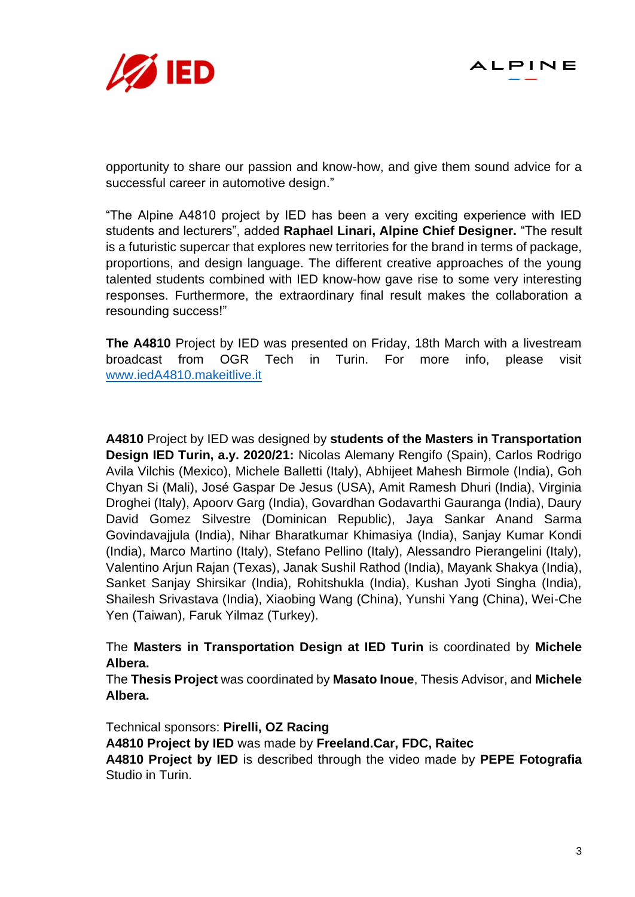



opportunity to share our passion and know-how, and give them sound advice for a successful career in automotive design."

"The Alpine A4810 project by IED has been a very exciting experience with IED students and lecturers", added **Raphael Linari, Alpine Chief Designer.** "The result is a futuristic supercar that explores new territories for the brand in terms of package, proportions, and design language. The different creative approaches of the young talented students combined with IED know-how gave rise to some very interesting responses. Furthermore, the extraordinary final result makes the collaboration a resounding success!"

**The A4810** Project by IED was presented on Friday, 18th March with a livestream broadcast from OGR Tech in Turin. For more info, please visit [www.iedA4810.makeitlive.it](http://www.ieda4810.makeitlive.it/)

**A4810** Project by IED was designed by **students of the Masters in Transportation Design IED Turin, a.y. 2020/21:** Nicolas Alemany Rengifo (Spain), Carlos Rodrigo Avila Vilchis (Mexico), Michele Balletti (Italy), Abhijeet Mahesh Birmole (India), Goh Chyan Si (Mali), José Gaspar De Jesus (USA), Amit Ramesh Dhuri (India), Virginia Droghei (Italy), Apoorv Garg (India), Govardhan Godavarthi Gauranga (India), Daury David Gomez Silvestre (Dominican Republic), Jaya Sankar Anand Sarma Govindavajjula (India), Nihar Bharatkumar Khimasiya (India), Sanjay Kumar Kondi (India), Marco Martino (Italy), Stefano Pellino (Italy), Alessandro Pierangelini (Italy), Valentino Arjun Rajan (Texas), Janak Sushil Rathod (India), Mayank Shakya (India), Sanket Sanjay Shirsikar (India), Rohitshukla (India), Kushan Jyoti Singha (India), Shailesh Srivastava (India), Xiaobing Wang (China), Yunshi Yang (China), Wei-Che Yen (Taiwan), Faruk Yilmaz (Turkey).

The **Masters in Transportation Design at IED Turin** is coordinated by **Michele Albera.**

The **Thesis Project** was coordinated by **Masato Inoue**, Thesis Advisor, and **Michele Albera.**

Technical sponsors: **Pirelli, OZ Racing**

**A4810 Project by IED** was made by **Freeland.Car, FDC, Raitec**

**A4810 Project by IED** is described through the video made by **PEPE Fotografia** Studio in Turin.